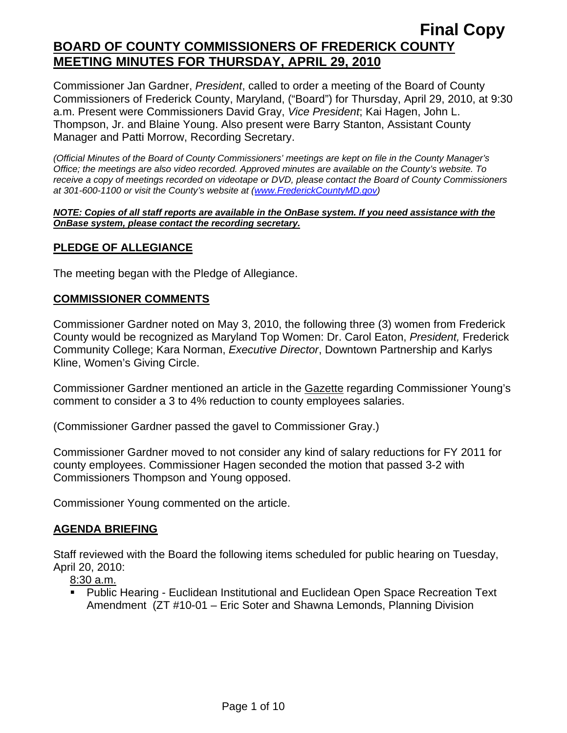Commissioner Jan Gardner, *President*, called to order a meeting of the Board of County Commissioners of Frederick County, Maryland, ("Board") for Thursday, April 29, 2010, at 9:30 a.m. Present were Commissioners David Gray, *Vice President*; Kai Hagen, John L. Thompson, Jr. and Blaine Young. Also present were Barry Stanton, Assistant County Manager and Patti Morrow, Recording Secretary.

*(Official Minutes of the Board of County Commissioners' meetings are kept on file in the County Manager's Office; the meetings are also video recorded. Approved minutes are available on the County's website. To receive a copy of meetings recorded on videotape or DVD, please contact the Board of County Commissioners at 301-600-1100 or visit the County's website at ([www.FrederickCountyMD.gov](http://www.frederickcountymd.gov/))* 

#### *NOTE: Copies of all staff reports are available in the OnBase system. If you need assistance with the OnBase system, please contact the recording secretary.*

# **PLEDGE OF ALLEGIANCE**

The meeting began with the Pledge of Allegiance.

## **COMMISSIONER COMMENTS**

Commissioner Gardner noted on May 3, 2010, the following three (3) women from Frederick County would be recognized as Maryland Top Women: Dr. Carol Eaton, *President,* Frederick Community College; Kara Norman, *Executive Director*, Downtown Partnership and Karlys Kline, Women's Giving Circle.

Commissioner Gardner mentioned an article in the Gazette regarding Commissioner Young's comment to consider a 3 to 4% reduction to county employees salaries.

(Commissioner Gardner passed the gavel to Commissioner Gray.)

Commissioner Gardner moved to not consider any kind of salary reductions for FY 2011 for county employees. Commissioner Hagen seconded the motion that passed 3-2 with Commissioners Thompson and Young opposed.

Commissioner Young commented on the article.

# **AGENDA BRIEFING**

Staff reviewed with the Board the following items scheduled for public hearing on Tuesday, April 20, 2010:

8:30 a.m.

 Public Hearing - Euclidean Institutional and Euclidean Open Space Recreation Text Amendment (ZT #10-01 – Eric Soter and Shawna Lemonds, Planning Division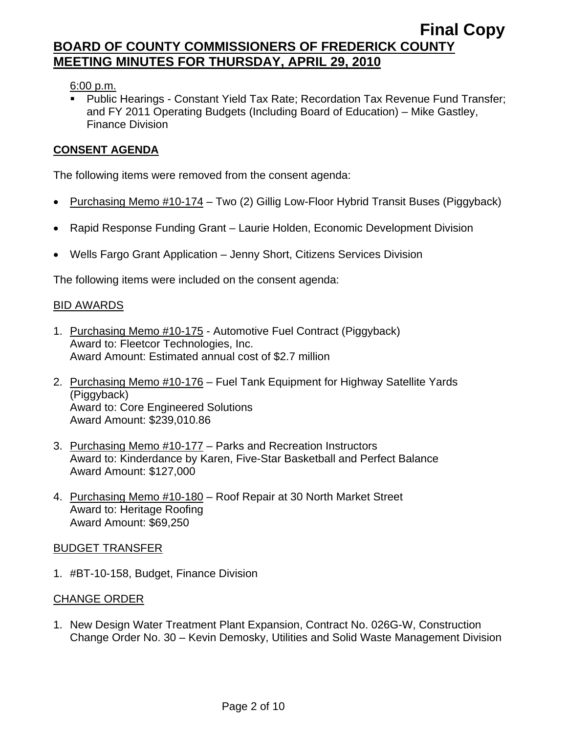6:00 p.m.

 Public Hearings - Constant Yield Tax Rate; Recordation Tax Revenue Fund Transfer; and FY 2011 Operating Budgets (Including Board of Education) – Mike Gastley, Finance Division

# **CONSENT AGENDA**

The following items were removed from the consent agenda:

- Purchasing Memo #10-174 Two (2) Gillig Low-Floor Hybrid Transit Buses (Piggyback)
- Rapid Response Funding Grant Laurie Holden, Economic Development Division
- Wells Fargo Grant Application Jenny Short, Citizens Services Division

The following items were included on the consent agenda:

## BID AWARDS

- 1. Purchasing Memo #10-175 Automotive Fuel Contract (Piggyback) Award to: Fleetcor Technologies, Inc. Award Amount: Estimated annual cost of \$2.7 million
- 2. Purchasing Memo #10-176 Fuel Tank Equipment for Highway Satellite Yards (Piggyback) Award to: Core Engineered Solutions Award Amount: \$239,010.86
- 3. Purchasing Memo #10-177 Parks and Recreation Instructors Award to: Kinderdance by Karen, Five-Star Basketball and Perfect Balance Award Amount: \$127,000
- 4. Purchasing Memo #10-180 Roof Repair at 30 North Market Street Award to: Heritage Roofing Award Amount: \$69,250

#### BUDGET TRANSFER

1. #BT-10-158, Budget, Finance Division

## CHANGE ORDER

1. New Design Water Treatment Plant Expansion, Contract No. 026G-W, Construction Change Order No. 30 – Kevin Demosky, Utilities and Solid Waste Management Division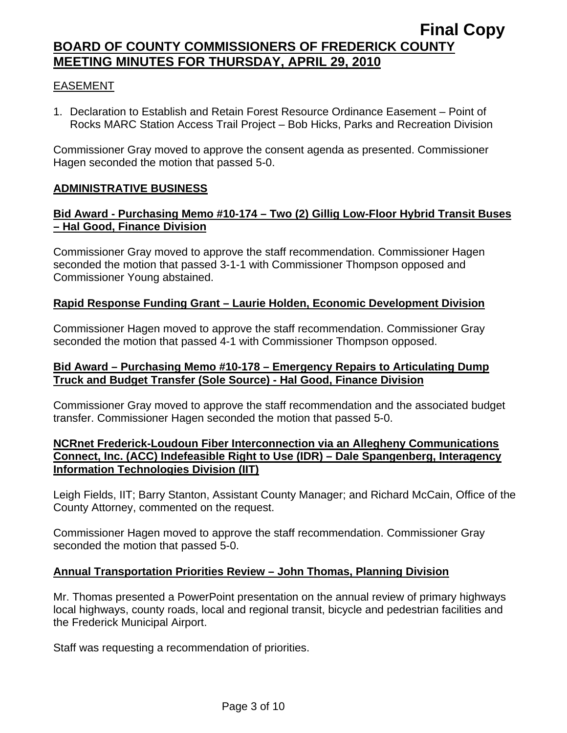## EASEMENT

1. Declaration to Establish and Retain Forest Resource Ordinance Easement – Point of Rocks MARC Station Access Trail Project – Bob Hicks, Parks and Recreation Division

Commissioner Gray moved to approve the consent agenda as presented. Commissioner Hagen seconded the motion that passed 5-0.

## **ADMINISTRATIVE BUSINESS**

## **Bid Award - Purchasing Memo #10-174 – Two (2) Gillig Low-Floor Hybrid Transit Buses – Hal Good, Finance Division**

Commissioner Gray moved to approve the staff recommendation. Commissioner Hagen seconded the motion that passed 3-1-1 with Commissioner Thompson opposed and Commissioner Young abstained.

### **Rapid Response Funding Grant – Laurie Holden, Economic Development Division**

Commissioner Hagen moved to approve the staff recommendation. Commissioner Gray seconded the motion that passed 4-1 with Commissioner Thompson opposed.

# **Bid Award – Purchasing Memo #10-178 – Emergency Repairs to Articulating Dump Truck and Budget Transfer (Sole Source) - Hal Good, Finance Division**

Commissioner Gray moved to approve the staff recommendation and the associated budget transfer. Commissioner Hagen seconded the motion that passed 5-0.

## **NCRnet Frederick-Loudoun Fiber Interconnection via an Allegheny Communications Connect, Inc. (ACC) Indefeasible Right to Use (IDR) – Dale Spangenberg, Interagency Information Technologies Division (IIT)**

Leigh Fields, IIT; Barry Stanton, Assistant County Manager; and Richard McCain, Office of the County Attorney, commented on the request.

Commissioner Hagen moved to approve the staff recommendation. Commissioner Gray seconded the motion that passed 5-0.

## **Annual Transportation Priorities Review – John Thomas, Planning Division**

Mr. Thomas presented a PowerPoint presentation on the annual review of primary highways local highways, county roads, local and regional transit, bicycle and pedestrian facilities and the Frederick Municipal Airport.

Staff was requesting a recommendation of priorities.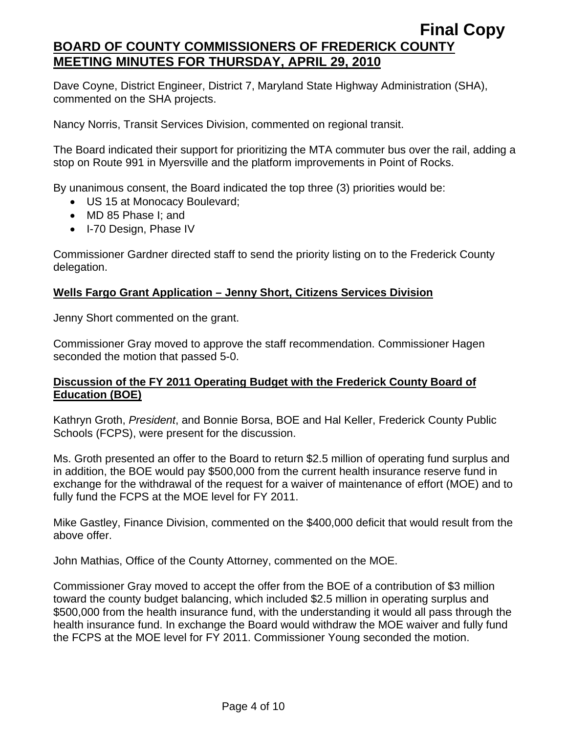Dave Coyne, District Engineer, District 7, Maryland State Highway Administration (SHA), commented on the SHA projects.

Nancy Norris, Transit Services Division, commented on regional transit.

The Board indicated their support for prioritizing the MTA commuter bus over the rail, adding a stop on Route 991 in Myersville and the platform improvements in Point of Rocks.

By unanimous consent, the Board indicated the top three (3) priorities would be:

- US 15 at Monocacy Boulevard;
- MD 85 Phase I; and
- I-70 Design, Phase IV

Commissioner Gardner directed staff to send the priority listing on to the Frederick County delegation.

# **Wells Fargo Grant Application – Jenny Short, Citizens Services Division**

Jenny Short commented on the grant.

Commissioner Gray moved to approve the staff recommendation. Commissioner Hagen seconded the motion that passed 5-0.

### **Discussion of the FY 2011 Operating Budget with the Frederick County Board of Education (BOE)**

Kathryn Groth, *President*, and Bonnie Borsa, BOE and Hal Keller, Frederick County Public Schools (FCPS), were present for the discussion.

Ms. Groth presented an offer to the Board to return \$2.5 million of operating fund surplus and in addition, the BOE would pay \$500,000 from the current health insurance reserve fund in exchange for the withdrawal of the request for a waiver of maintenance of effort (MOE) and to fully fund the FCPS at the MOE level for FY 2011.

Mike Gastley, Finance Division, commented on the \$400,000 deficit that would result from the above offer.

John Mathias, Office of the County Attorney, commented on the MOE.

Commissioner Gray moved to accept the offer from the BOE of a contribution of \$3 million toward the county budget balancing, which included \$2.5 million in operating surplus and \$500,000 from the health insurance fund, with the understanding it would all pass through the health insurance fund. In exchange the Board would withdraw the MOE waiver and fully fund the FCPS at the MOE level for FY 2011. Commissioner Young seconded the motion.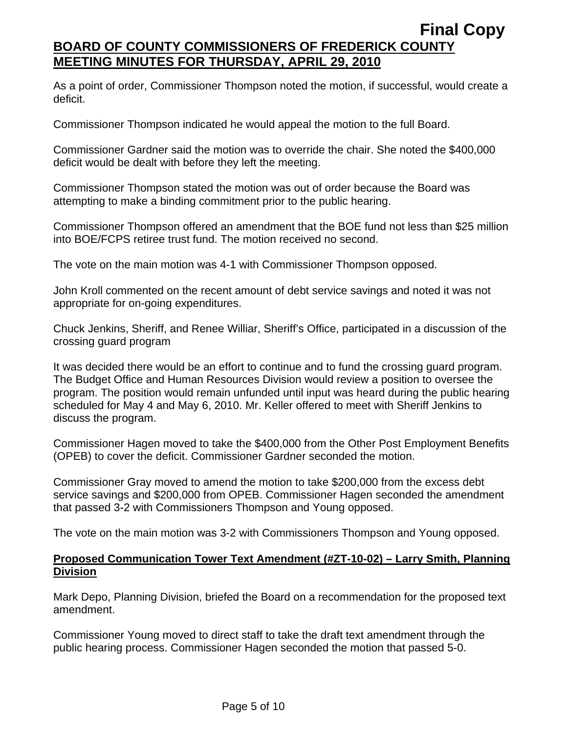As a point of order, Commissioner Thompson noted the motion, if successful, would create a deficit.

Commissioner Thompson indicated he would appeal the motion to the full Board.

Commissioner Gardner said the motion was to override the chair. She noted the \$400,000 deficit would be dealt with before they left the meeting.

Commissioner Thompson stated the motion was out of order because the Board was attempting to make a binding commitment prior to the public hearing.

Commissioner Thompson offered an amendment that the BOE fund not less than \$25 million into BOE/FCPS retiree trust fund. The motion received no second.

The vote on the main motion was 4-1 with Commissioner Thompson opposed.

John Kroll commented on the recent amount of debt service savings and noted it was not appropriate for on-going expenditures.

Chuck Jenkins, Sheriff, and Renee Williar, Sheriff's Office, participated in a discussion of the crossing guard program

It was decided there would be an effort to continue and to fund the crossing guard program. The Budget Office and Human Resources Division would review a position to oversee the program. The position would remain unfunded until input was heard during the public hearing scheduled for May 4 and May 6, 2010. Mr. Keller offered to meet with Sheriff Jenkins to discuss the program.

Commissioner Hagen moved to take the \$400,000 from the Other Post Employment Benefits (OPEB) to cover the deficit. Commissioner Gardner seconded the motion.

Commissioner Gray moved to amend the motion to take \$200,000 from the excess debt service savings and \$200,000 from OPEB. Commissioner Hagen seconded the amendment that passed 3-2 with Commissioners Thompson and Young opposed.

The vote on the main motion was 3-2 with Commissioners Thompson and Young opposed.

# **Proposed Communication Tower Text Amendment (#ZT-10-02) – Larry Smith, Planning Division**

Mark Depo, Planning Division, briefed the Board on a recommendation for the proposed text amendment.

Commissioner Young moved to direct staff to take the draft text amendment through the public hearing process. Commissioner Hagen seconded the motion that passed 5-0.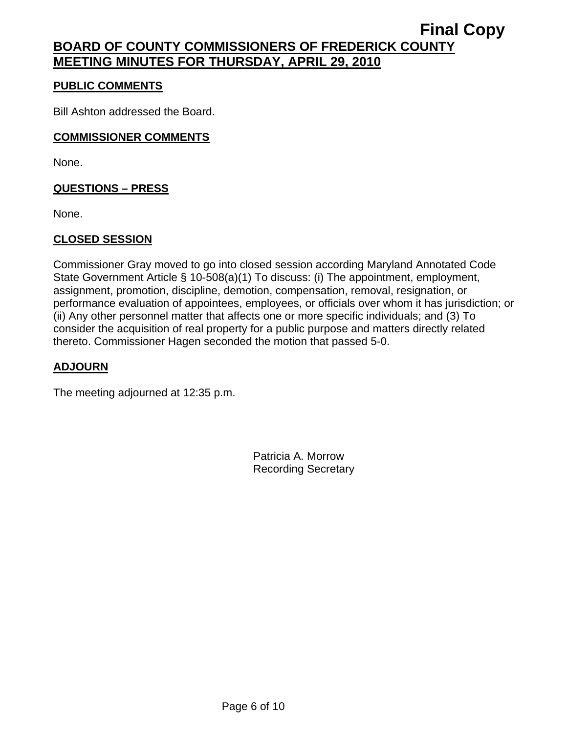# **PUBLIC COMMENTS**

Bill Ashton addressed the Board.

# **COMMISSIONER COMMENTS**

None.

# **QUESTIONS – PRESS**

None.

# **CLOSED SESSION**

Commissioner Gray moved to go into closed session according Maryland Annotated Code State Government Article § 10-508(a)(1) To discuss: (i) The appointment, employment, assignment, promotion, discipline, demotion, compensation, removal, resignation, or performance evaluation of appointees, employees, or officials over whom it has jurisdiction; or (ii) Any other personnel matter that affects one or more specific individuals; and (3) To consider the acquisition of real property for a public purpose and matters directly related thereto. Commissioner Hagen seconded the motion that passed 5-0.

# **ADJOURN**

The meeting adjourned at 12:35 p.m.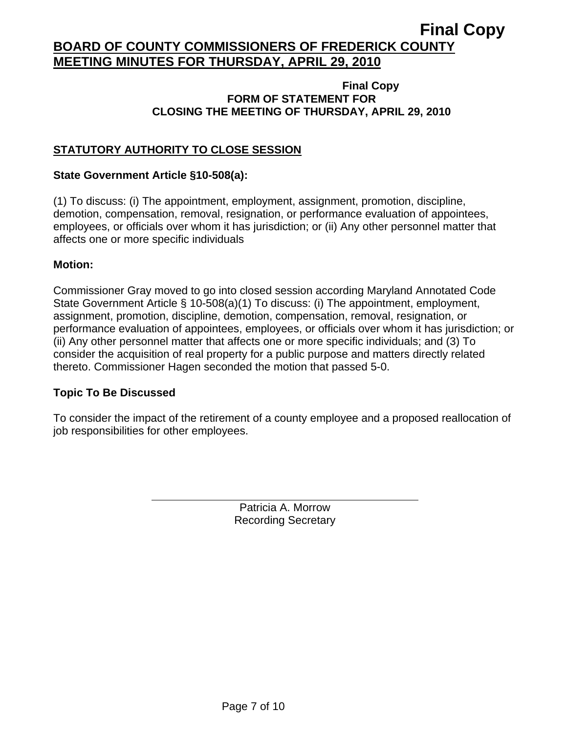### **Final Copy FORM OF STATEMENT FOR CLOSING THE MEETING OF THURSDAY, APRIL 29, 2010**

# **STATUTORY AUTHORITY TO CLOSE SESSION**

## **State Government Article §10-508(a):**

(1) To discuss: (i) The appointment, employment, assignment, promotion, discipline, demotion, compensation, removal, resignation, or performance evaluation of appointees, employees, or officials over whom it has jurisdiction; or (ii) Any other personnel matter that affects one or more specific individuals

## **Motion:**

Commissioner Gray moved to go into closed session according Maryland Annotated Code State Government Article § 10-508(a)(1) To discuss: (i) The appointment, employment, assignment, promotion, discipline, demotion, compensation, removal, resignation, or performance evaluation of appointees, employees, or officials over whom it has jurisdiction; or (ii) Any other personnel matter that affects one or more specific individuals; and (3) To consider the acquisition of real property for a public purpose and matters directly related thereto. Commissioner Hagen seconded the motion that passed 5-0.

## **Topic To Be Discussed**

 $\overline{a}$ 

To consider the impact of the retirement of a county employee and a proposed reallocation of job responsibilities for other employees.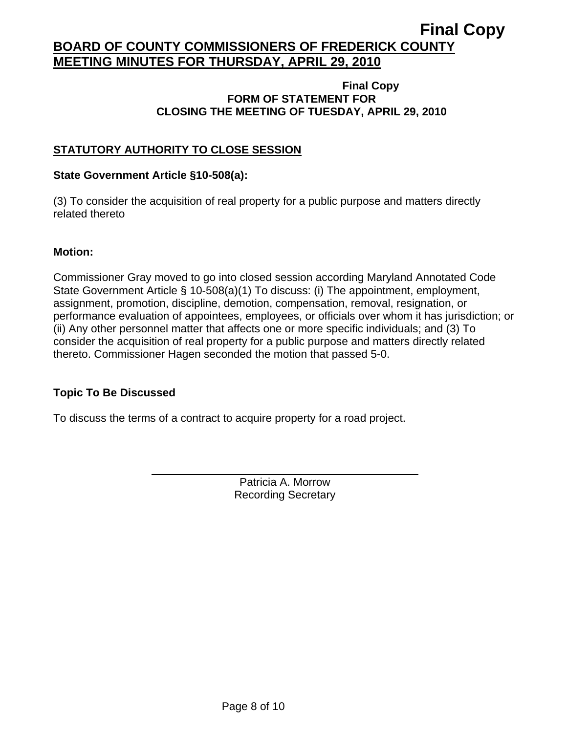#### **Final Copy FORM OF STATEMENT FOR CLOSING THE MEETING OF TUESDAY, APRIL 29, 2010**

# **STATUTORY AUTHORITY TO CLOSE SESSION**

### **State Government Article §10-508(a):**

(3) To consider the acquisition of real property for a public purpose and matters directly related thereto

### **Motion:**

Commissioner Gray moved to go into closed session according Maryland Annotated Code State Government Article § 10-508(a)(1) To discuss: (i) The appointment, employment, assignment, promotion, discipline, demotion, compensation, removal, resignation, or performance evaluation of appointees, employees, or officials over whom it has jurisdiction; or (ii) Any other personnel matter that affects one or more specific individuals; and (3) To consider the acquisition of real property for a public purpose and matters directly related thereto. Commissioner Hagen seconded the motion that passed 5-0.

## **Topic To Be Discussed**

 $\overline{a}$ 

To discuss the terms of a contract to acquire property for a road project.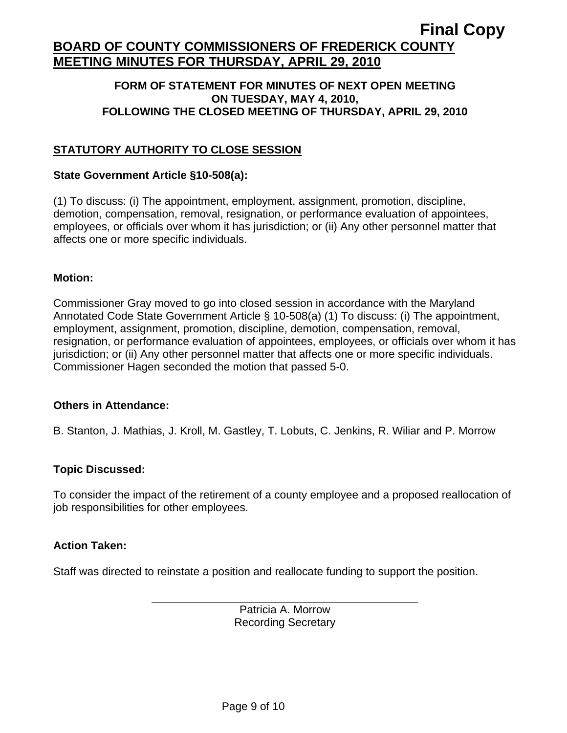### **FORM OF STATEMENT FOR MINUTES OF NEXT OPEN MEETING ON TUESDAY, MAY 4, 2010, FOLLOWING THE CLOSED MEETING OF THURSDAY, APRIL 29, 2010**

# **STATUTORY AUTHORITY TO CLOSE SESSION**

### **State Government Article §10-508(a):**

(1) To discuss: (i) The appointment, employment, assignment, promotion, discipline, demotion, compensation, removal, resignation, or performance evaluation of appointees, employees, or officials over whom it has jurisdiction; or (ii) Any other personnel matter that affects one or more specific individuals.

#### **Motion:**

Commissioner Gray moved to go into closed session in accordance with the Maryland Annotated Code State Government Article § 10-508(a) (1) To discuss: (i) The appointment, employment, assignment, promotion, discipline, demotion, compensation, removal, resignation, or performance evaluation of appointees, employees, or officials over whom it has jurisdiction; or (ii) Any other personnel matter that affects one or more specific individuals. Commissioner Hagen seconded the motion that passed 5-0.

#### **Others in Attendance:**

B. Stanton, J. Mathias, J. Kroll, M. Gastley, T. Lobuts, C. Jenkins, R. Wiliar and P. Morrow

## **Topic Discussed:**

To consider the impact of the retirement of a county employee and a proposed reallocation of job responsibilities for other employees.

## **Action Taken:**

 $\overline{a}$ 

Staff was directed to reinstate a position and reallocate funding to support the position.